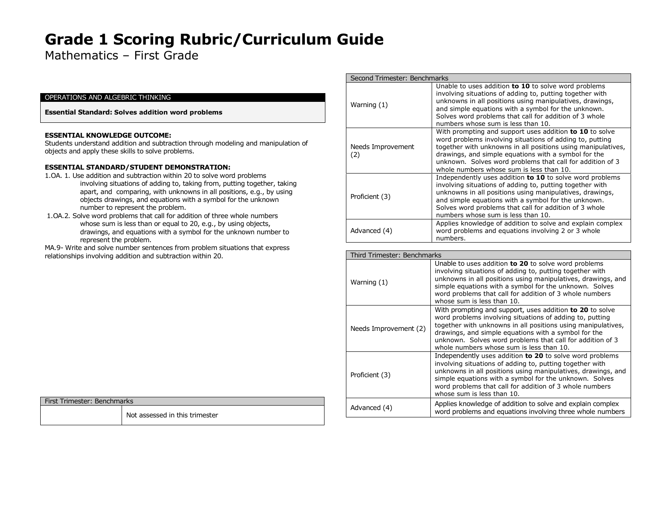Mathematics – First Grade

### OPERATIONS AND ALGEBRIC THINKING

**Essential Standard: Solves addition word problems** 

#### **ESSENTIAL KNOWLEDGE OUTCOME:**

Students understand addition and subtraction through modeling and manipulation of objects and apply these skills to solve problems.

#### **ESSENTIAL STANDARD/STUDENT DEMONSTRATION:**

- 1.OA. 1. Use addition and subtraction within 20 to solve word problems
- involving situations of adding to, taking from, putting together, taking apart, and comparing, with unknowns in all positions, e.g., by using objects drawings, and equations with a symbol for the unknown number to represent the problem.
- 1.OA.2. Solve word problems that call for addition of three whole numbers whose sum is less than or equal to 20, e.g., by using objects, drawings, and equations with a symbol for the unknown number to represent the problem.
- MA.9- Write and solve number sentences from problem situations that express relationships involving addition and subtraction within 20.

|  |  | First Trimester: Benchmarks |
|--|--|-----------------------------|
|--|--|-----------------------------|

Not assessed in this trimester

| Second Trimester: Benchmarks |                                                                                                                                                                                                                                                                                                                                                             |
|------------------------------|-------------------------------------------------------------------------------------------------------------------------------------------------------------------------------------------------------------------------------------------------------------------------------------------------------------------------------------------------------------|
| Warning (1)                  | Unable to uses addition to 10 to solve word problems<br>involving situations of adding to, putting together with<br>unknowns in all positions using manipulatives, drawings,<br>and simple equations with a symbol for the unknown.<br>Solves word problems that call for addition of 3 whole<br>numbers whose sum is less than 10.                         |
| Needs Improvement<br>(2)     | With prompting and support uses addition <b>to 10</b> to solve<br>word problems involving situations of adding to, putting<br>together with unknowns in all positions using manipulatives,<br>drawings, and simple equations with a symbol for the<br>unknown. Solves word problems that call for addition of 3<br>whole numbers whose sum is less than 10. |
| Proficient (3)               | Independently uses addition to 10 to solve word problems<br>involving situations of adding to, putting together with<br>unknowns in all positions using manipulatives, drawings,<br>and simple equations with a symbol for the unknown.<br>Solves word problems that call for addition of 3 whole<br>numbers whose sum is less than 10.                     |
| Advanced (4)                 | Applies knowledge of addition to solve and explain complex<br>word problems and equations involving 2 or 3 whole<br>numbers.                                                                                                                                                                                                                                |

| Third Trimester: Benchmarks |                                                                                                                                                                                                                                                                                                                                                       |
|-----------------------------|-------------------------------------------------------------------------------------------------------------------------------------------------------------------------------------------------------------------------------------------------------------------------------------------------------------------------------------------------------|
| Warning (1)                 | Unable to uses addition to 20 to solve word problems<br>involving situations of adding to, putting together with<br>unknowns in all positions using manipulatives, drawings, and<br>simple equations with a symbol for the unknown. Solves<br>word problems that call for addition of 3 whole numbers<br>whose sum is less than 10.                   |
| Needs Improvement (2)       | With prompting and support, uses addition to 20 to solve<br>word problems involving situations of adding to, putting<br>together with unknowns in all positions using manipulatives,<br>drawings, and simple equations with a symbol for the<br>unknown. Solves word problems that call for addition of 3<br>whole numbers whose sum is less than 10. |
| Proficient (3)              | Independently uses addition to 20 to solve word problems<br>involving situations of adding to, putting together with<br>unknowns in all positions using manipulatives, drawings, and<br>simple equations with a symbol for the unknown. Solves<br>word problems that call for addition of 3 whole numbers<br>whose sum is less than 10.               |
| Advanced (4)                | Applies knowledge of addition to solve and explain complex<br>word problems and equations involving three whole numbers                                                                                                                                                                                                                               |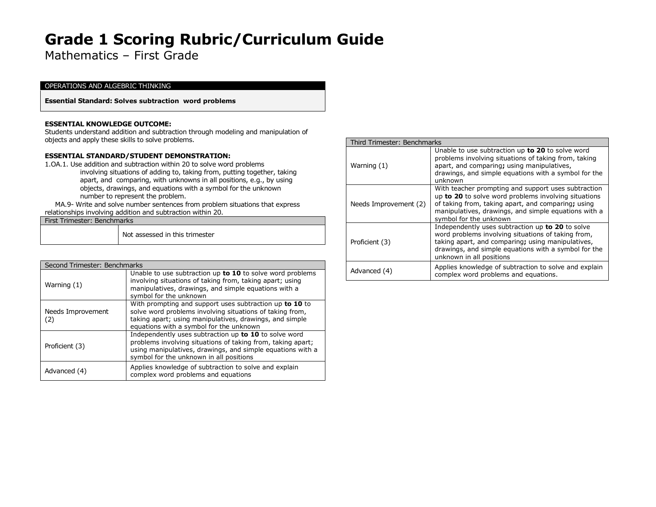Mathematics – First Grade

#### OPERATIONS AND ALGEBRIC THINKING

**Essential Standard: Solves subtraction word problems** 

#### **ESSENTIAL KNOWLEDGE OUTCOME:**

Students understand addition and subtraction through modeling and manipulation of objects and apply these skills to solve problems.

### **ESSENTIAL STANDARD/STUDENT DEMONSTRATION:**

1.OA.1. Use addition and subtraction within 20 to solve word problems

 involving situations of adding to, taking from, putting together, taking apart, and comparing, with unknowns in all positions, e.g., by using objects, drawings, and equations with a symbol for the unknown number to represent the problem.

 MA.9- Write and solve number sentences from problem situations that express relationships involving addition and subtraction within 20.

| First Trimester: Benchmarks |                                |
|-----------------------------|--------------------------------|
|                             | Not assessed in this trimester |

| Second Trimester: Benchmarks |                                                                                                                                                                                                                               |
|------------------------------|-------------------------------------------------------------------------------------------------------------------------------------------------------------------------------------------------------------------------------|
| Warning (1)                  | Unable to use subtraction up to 10 to solve word problems<br>involving situations of taking from, taking apart; using<br>manipulatives, drawings, and simple equations with a<br>symbol for the unknown                       |
| Needs Improvement<br>(2)     | With prompting and support uses subtraction up to 10 to<br>solve word problems involving situations of taking from,<br>taking apart; using manipulatives, drawings, and simple<br>equations with a symbol for the unknown     |
| Proficient (3)               | Independently uses subtraction up to 10 to solve word<br>problems involving situations of taking from, taking apart;<br>using manipulatives, drawings, and simple equations with a<br>symbol for the unknown in all positions |
| Advanced (4)                 | Applies knowledge of subtraction to solve and explain<br>complex word problems and equations                                                                                                                                  |

| Third Trimester: Benchmarks |                                                                                                                                                                                                                                                     |
|-----------------------------|-----------------------------------------------------------------------------------------------------------------------------------------------------------------------------------------------------------------------------------------------------|
| Warning $(1)$               | Unable to use subtraction up to 20 to solve word<br>problems involving situations of taking from, taking<br>apart, and comparing; using manipulatives,<br>drawings, and simple equations with a symbol for the<br>unknown                           |
| Needs Improvement (2)       | With teacher prompting and support uses subtraction<br>up to 20 to solve word problems involving situations<br>of taking from, taking apart, and comparing; using<br>manipulatives, drawings, and simple equations with a<br>symbol for the unknown |
| Proficient (3)              | Independently uses subtraction up to 20 to solve<br>word problems involving situations of taking from,<br>taking apart, and comparing; using manipulatives,<br>drawings, and simple equations with a symbol for the<br>unknown in all positions     |
| Advanced (4)                | Applies knowledge of subtraction to solve and explain<br>complex word problems and equations.                                                                                                                                                       |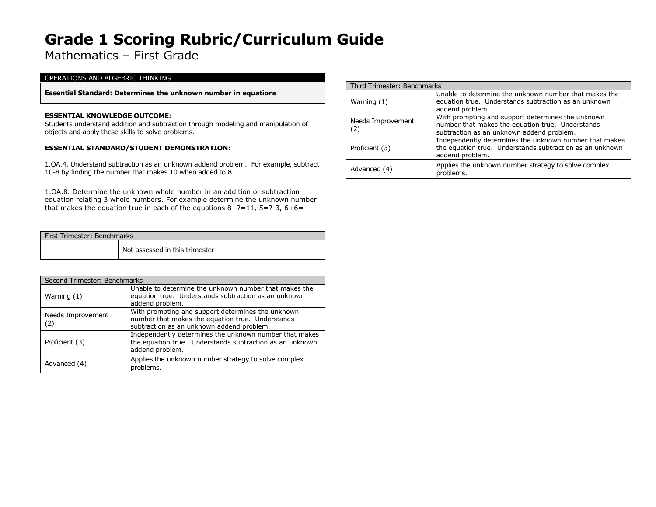Mathematics – First Grade

### OPERATIONS AND ALGEBRIC THINKING

**Essential Standard: Determines the unknown number in equations**

### **ESSENTIAL KNOWLEDGE OUTCOME:**

Students understand addition and subtraction through modeling and manipulation of objects and apply these skills to solve problems.

### **ESSENTIAL STANDARD/STUDENT DEMONSTRATION:**

1.OA.4. Understand subtraction as an unknown addend problem. For example, subtract 10-8 by finding the number that makes 10 when added to 8.

1.OA.8. Determine the unknown whole number in an addition or subtraction equation relating 3 whole numbers. For example determine the unknown number that makes the equation true in each of the equations  $8+?=11$ ,  $5=?-3$ ,  $6+6=$ 

| First Trimester: Benchmarks |                                |
|-----------------------------|--------------------------------|
|                             | Not assessed in this trimester |

|                          | Second Trimester: Benchmarks                                                                                                                       |  |
|--------------------------|----------------------------------------------------------------------------------------------------------------------------------------------------|--|
| Warning (1)              | Unable to determine the unknown number that makes the<br>equation true. Understands subtraction as an unknown<br>addend problem.                   |  |
| Needs Improvement<br>(2) | With prompting and support determines the unknown<br>number that makes the equation true. Understands<br>subtraction as an unknown addend problem. |  |
| Proficient (3)           | Independently determines the unknown number that makes<br>the equation true. Understands subtraction as an unknown<br>addend problem.              |  |
| Advanced (4)             | Applies the unknown number strategy to solve complex<br>problems.                                                                                  |  |

|                          | Third Trimester: Benchmarks                                                                                                                        |  |
|--------------------------|----------------------------------------------------------------------------------------------------------------------------------------------------|--|
| Warning $(1)$            | Unable to determine the unknown number that makes the<br>equation true. Understands subtraction as an unknown<br>addend problem.                   |  |
| Needs Improvement<br>(2) | With prompting and support determines the unknown<br>number that makes the equation true. Understands<br>subtraction as an unknown addend problem. |  |
| Proficient (3)           | Independently determines the unknown number that makes<br>the equation true. Understands subtraction as an unknown<br>addend problem.              |  |
| Advanced (4)             | Applies the unknown number strategy to solve complex<br>problems.                                                                                  |  |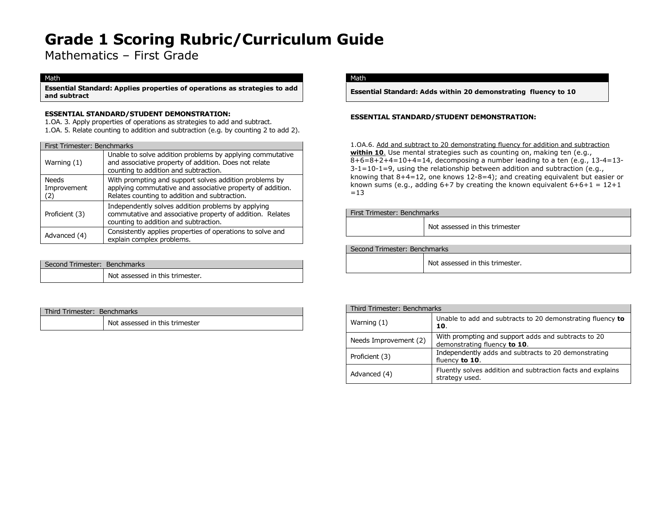Mathematics – First Grade

#### Math

**Essential Standard: Applies properties of operations as strategies to add and subtract**

### **ESSENTIAL STANDARD/STUDENT DEMONSTRATION:**

1.OA. 3. Apply properties of operations as strategies to add and subtract. 1.OA. 5. Relate counting to addition and subtraction (e.g. by counting 2 to add 2).

|                                    | First Trimester: Benchmarks                                                                                                                                           |  |
|------------------------------------|-----------------------------------------------------------------------------------------------------------------------------------------------------------------------|--|
| Warning (1)                        | Unable to solve addition problems by applying commutative<br>and associative property of addition. Does not relate<br>counting to addition and subtraction.           |  |
| <b>Needs</b><br>Improvement<br>(2) | With prompting and support solves addition problems by<br>applying commutative and associative property of addition.<br>Relates counting to addition and subtraction. |  |
| Proficient (3)                     | Independently solves addition problems by applying<br>commutative and associative property of addition. Relates<br>counting to addition and subtraction.              |  |
| Advanced (4)                       | Consistently applies properties of operations to solve and<br>explain complex problems.                                                                               |  |

| Second Trimester: Benchmarks |                                 |
|------------------------------|---------------------------------|
|                              | Not assessed in this trimester. |

| Third Trimester: Benchmarks |  |                                |
|-----------------------------|--|--------------------------------|
|                             |  | Not assessed in this trimester |

### Math

**Essential Standard: Adds within 20 demonstrating fluency to 10**

### **ESSENTIAL STANDARD/STUDENT DEMONSTRATION:**

1.OA.6. Add and subtract to 20 demonstrating fluency for addition and subtraction **within 10**. Use mental strategies such as counting on, making ten (e.g.,  $8+6=8+2+4=10+4=14$ , decomposing a number leading to a ten (e.g., 13-4=13-3-1=10-1=9, using the relationship between addition and subtraction (e.g., knowing that 8+4=12, one knows 12-8=4); and creating equivalent but easier or known sums (e.g., adding  $6+7$  by creating the known equivalent  $6+6+1 = 12+1$  $=13$ 

First Trimester: Benchmarks

Not assessed in this trimester

Second Trimester: Benchmarks

Not assessed in this trimester.

| Third Trimester: Benchmarks |                                                                                     |
|-----------------------------|-------------------------------------------------------------------------------------|
| Warning $(1)$               | Unable to add and subtracts to 20 demonstrating fluency to<br>10.                   |
| Needs Improvement (2)       | With prompting and support adds and subtracts to 20<br>demonstrating fluency to 10. |
| Proficient (3)              | Independently adds and subtracts to 20 demonstrating<br>fluency to 10.              |
| Advanced (4)                | Fluently solves addition and subtraction facts and explains<br>strategy used.       |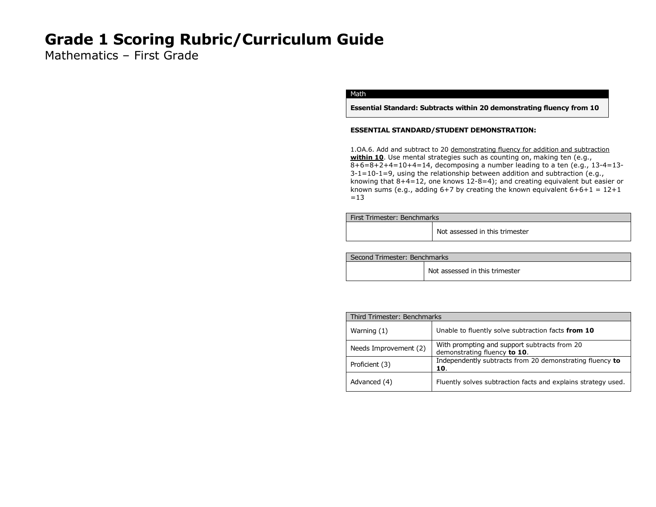Mathematics – First Grade

### Math

**Essential Standard: Subtracts within 20 demonstrating fluency from 10**

### **ESSENTIAL STANDARD/STUDENT DEMONSTRATION:**

1.OA.6. Add and subtract to 20 demonstrating fluency for addition and subtraction within 10. Use mental strategies such as counting on, making ten (e.g., 8+6=8+2+4=10+4=14, decomposing a number leading to a ten (e.g., 13-4=13-  $3-1=10-1=9$ , using the relationship between addition and subtraction (e.g., knowing that 8+4=12, one knows 12-8=4); and creating equivalent but easier or known sums (e.g., adding  $6+7$  by creating the known equivalent  $6+6+1 = 12+1$  $=13$ 

| <b>First Trimester: Benchmarks</b> |                                |
|------------------------------------|--------------------------------|
|                                    | Not assessed in this trimester |

| Second Trimester: Benchmarks |                                |
|------------------------------|--------------------------------|
|                              | Not assessed in this trimester |

| Third Trimester: Benchmarks |                                                                              |
|-----------------------------|------------------------------------------------------------------------------|
| Warning $(1)$               | Unable to fluently solve subtraction facts from 10                           |
| Needs Improvement (2)       | With prompting and support subtracts from 20<br>demonstrating fluency to 10. |
| Proficient (3)              | Independently subtracts from 20 demonstrating fluency to<br>10.              |
| Advanced (4)                | Fluently solves subtraction facts and explains strategy used.                |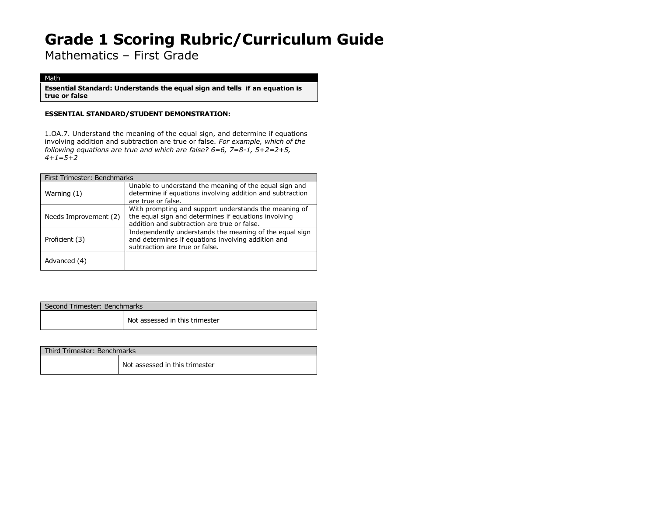Mathematics – First Grade

### Math

**Essential Standard: Understands the equal sign and tells if an equation is true or false**

### **ESSENTIAL STANDARD/STUDENT DEMONSTRATION:**

1.OA.7. Understand the meaning of the equal sign, and determine if equations involving addition and subtraction are true or false. *For example, which of the following equations are true and which are false? 6=6, 7=8-1, 5+2=2+5, 4+1=5+2*

| First Trimester: Benchmarks |                                                                                                                                                              |
|-----------------------------|--------------------------------------------------------------------------------------------------------------------------------------------------------------|
| Warning (1)                 | Unable to understand the meaning of the equal sign and<br>determine if equations involving addition and subtraction<br>are true or false.                    |
| Needs Improvement (2)       | With prompting and support understands the meaning of<br>the equal sign and determines if equations involving<br>addition and subtraction are true or false. |
| Proficient (3)              | Independently understands the meaning of the equal sign<br>and determines if equations involving addition and<br>subtraction are true or false.              |
| Advanced (4)                |                                                                                                                                                              |

| Second Trimester: Benchmarks |                                |
|------------------------------|--------------------------------|
|                              | Not assessed in this trimester |

| Third Trimester: Benchmarks |                                |  |
|-----------------------------|--------------------------------|--|
|                             | Not assessed in this trimester |  |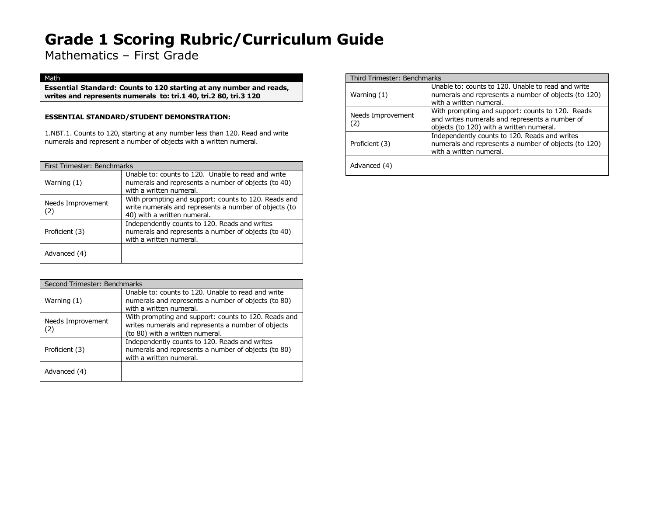Mathematics – First Grade

### Math

**Essential Standard: Counts to 120 starting at any number and reads, writes and represents numerals to: tri.1 40, tri.2 80, tri.3 120**

### **ESSENTIAL STANDARD/STUDENT DEMONSTRATION:**

1.NBT.1. Counts to 120, starting at any number less than 120. Read and write numerals and represent a number of objects with a written numeral.

| First Trimester: Benchmarks |                                                                                                                                              |
|-----------------------------|----------------------------------------------------------------------------------------------------------------------------------------------|
| Warning (1)                 | Unable to: counts to 120. Unable to read and write<br>numerals and represents a number of objects (to 40)<br>with a written numeral.         |
| Needs Improvement<br>(2)    | With prompting and support: counts to 120. Reads and<br>write numerals and represents a number of objects (to<br>40) with a written numeral. |
| Proficient (3)              | Independently counts to 120. Reads and writes<br>numerals and represents a number of objects (to 40)<br>with a written numeral.              |
| Advanced (4)                |                                                                                                                                              |

| Second Trimester: Benchmarks |                                                                                                                                               |
|------------------------------|-----------------------------------------------------------------------------------------------------------------------------------------------|
| Warning (1)                  | Unable to: counts to 120. Unable to read and write<br>numerals and represents a number of objects (to 80)<br>with a written numeral.          |
| Needs Improvement<br>(2)     | With prompting and support: counts to 120. Reads and<br>writes numerals and represents a number of objects<br>(to 80) with a written numeral. |
| Proficient (3)               | Independently counts to 120. Reads and writes<br>numerals and represents a number of objects (to 80)<br>with a written numeral.               |
| Advanced (4)                 |                                                                                                                                               |

| Third Trimester: Benchmarks |                                                                                                                                                |
|-----------------------------|------------------------------------------------------------------------------------------------------------------------------------------------|
| Warning (1)                 | Unable to: counts to 120. Unable to read and write<br>numerals and represents a number of objects (to 120)<br>with a written numeral.          |
| Needs Improvement<br>(2)    | With prompting and support: counts to 120. Reads<br>and writes numerals and represents a number of<br>objects (to 120) with a written numeral. |
| Proficient (3)              | Independently counts to 120. Reads and writes<br>numerals and represents a number of objects (to 120)<br>with a written numeral.               |
| Advanced (4)                |                                                                                                                                                |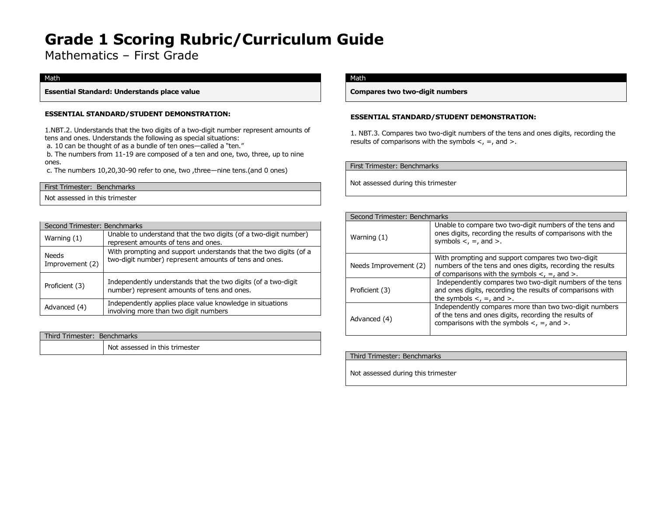Mathematics – First Grade

### Math

**Essential Standard: Understands place value** 

### **ESSENTIAL STANDARD/STUDENT DEMONSTRATION:**

1.NBT.2. Understands that the two digits of a two-digit number represent amounts of tens and ones. Understands the following as special situations:

a. 10 can be thought of as a bundle of ten ones—called a "ten."

b. The numbers from 11-19 are composed of a ten and one, two, three, up to nine ones.

c. The numbers 10,20,30-90 refer to one, two ,three—nine tens.(and 0 ones)

| First Trimester: Benchmarks    |  |
|--------------------------------|--|
| Not assessed in this trimester |  |

| Second Trimester: Benchmarks |                                                                                                                           |  |
|------------------------------|---------------------------------------------------------------------------------------------------------------------------|--|
| Warning (1)                  | Unable to understand that the two digits (of a two-digit number)<br>represent amounts of tens and ones.                   |  |
| Needs<br>Improvement (2)     | With prompting and support understands that the two digits (of a<br>two-digit number) represent amounts of tens and ones. |  |
| Proficient (3)               | Independently understands that the two digits (of a two-digit<br>number) represent amounts of tens and ones.              |  |
| Advanced (4)                 | Independently applies place value knowledge in situations<br>involving more than two digit numbers                        |  |

| Third Trimester: Benchmarks |                                |
|-----------------------------|--------------------------------|
|                             | Not assessed in this trimester |

### Math

**Compares two two-digit numbers** 

### **ESSENTIAL STANDARD/STUDENT DEMONSTRATION:**

1. NBT.3. Compares two two-digit numbers of the tens and ones digits, recording the results of comparisons with the symbols  $\lt$ ,  $=$ , and  $\gt$ .

First Trimester: Benchmarks Not assessed during this trimester

| Second Trimester: Benchmarks |                                                                                                                                                                              |
|------------------------------|------------------------------------------------------------------------------------------------------------------------------------------------------------------------------|
| Warning (1)                  | Unable to compare two two-digit numbers of the tens and<br>ones digits, recording the results of comparisons with the<br>symbols $\lt$ , $=$ , and $\gt$ .                   |
| Needs Improvement (2)        | With prompting and support compares two two-digit<br>numbers of the tens and ones digits, recording the results<br>of comparisons with the symbols $\lt$ , $=$ , and $\gt$ . |
| Proficient (3)               | Independently compares two two-digit numbers of the tens<br>and ones digits, recording the results of comparisons with<br>the symbols $\lt$ , $=$ , and $\gt$ .              |
| Advanced (4)                 | Independently compares more than two two-digit numbers<br>of the tens and ones digits, recording the results of<br>comparisons with the symbols $\lt$ , $=$ , and $\gt$ .    |

| Third Trimester: Benchmarks        |  |
|------------------------------------|--|
| Not assessed during this trimester |  |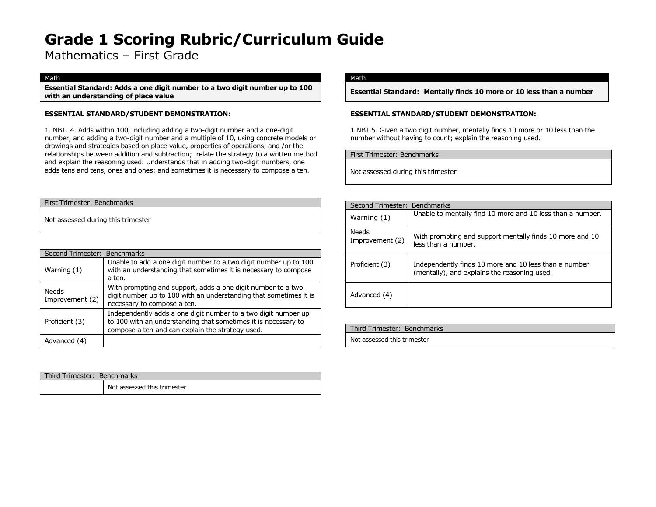Mathematics – First Grade

#### Math

**Essential Standard: Adds a one digit number to a two digit number up to 100 with an understanding of place value**

### **ESSENTIAL STANDARD/STUDENT DEMONSTRATION:**

1. NBT. 4. Adds within 100, including adding a two-digit number and a one-digit number, and adding a two-digit number and a multiple of 10, using concrete models or drawings and strategies based on place value, properties of operations, and /or the relationships between addition and subtraction; relate the strategy to a written method and explain the reasoning used. Understands that in adding two-digit numbers, one adds tens and tens, ones and ones; and sometimes it is necessary to compose a ten.

| First Trimester: Benchmarks |  |
|-----------------------------|--|
|                             |  |

Not assessed during this trimester

| Second Trimester: Benchmarks |                                                                                                                                                                                      |
|------------------------------|--------------------------------------------------------------------------------------------------------------------------------------------------------------------------------------|
| Warning $(1)$                | Unable to add a one digit number to a two digit number up to 100<br>with an understanding that sometimes it is necessary to compose<br>a ten.                                        |
| Needs<br>Improvement (2)     | With prompting and support, adds a one digit number to a two<br>digit number up to 100 with an understanding that sometimes it is<br>necessary to compose a ten.                     |
| Proficient (3)               | Independently adds a one digit number to a two digit number up<br>to 100 with an understanding that sometimes it is necessary to<br>compose a ten and can explain the strategy used. |
| Advanced (4)                 |                                                                                                                                                                                      |

| Third Trimester: Benchmarks |                             |
|-----------------------------|-----------------------------|
|                             | Not assessed this trimester |

### Math

**Essential Standard: Mentally finds 10 more or 10 less than a number**

### **ESSENTIAL STANDARD/STUDENT DEMONSTRATION:**

1 NBT.5. Given a two digit number, mentally finds 10 more or 10 less than the number without having to count; explain the reasoning used.

First Trimester: Benchmarks

Not assessed during this trimester

| Second Trimester:        | <b>Benchmarks</b>                                                                                     |
|--------------------------|-------------------------------------------------------------------------------------------------------|
| Warning (1)              | Unable to mentally find 10 more and 10 less than a number.                                            |
| Needs<br>Improvement (2) | With prompting and support mentally finds 10 more and 10<br>less than a number.                       |
| Proficient (3)           | Independently finds 10 more and 10 less than a number<br>(mentally), and explains the reasoning used. |
| Advanced (4)             |                                                                                                       |

| Third Trimester: Benchmarks |
|-----------------------------|
| Not assessed this trimester |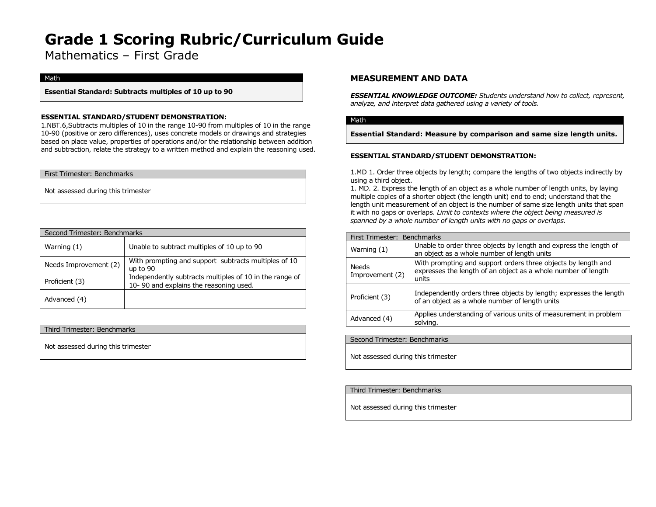Mathematics – First Grade

#### Math

**Essential Standard: Subtracts multiples of 10 up to 90**

### **ESSENTIAL STANDARD/STUDENT DEMONSTRATION:**

1.NBT.6,Subtracts multiples of 10 in the range 10-90 from multiples of 10 in the range 10-90 (positive or zero differences), uses concrete models or drawings and strategies based on place value, properties of operations and/or the relationship between addition and subtraction, relate the strategy to a written method and explain the reasoning used.

First Trimester: Benchmarks

Not assessed during this trimester

| Second Trimester: Benchmarks |                                                                                                   |
|------------------------------|---------------------------------------------------------------------------------------------------|
| Warning $(1)$                | Unable to subtract multiples of 10 up to 90                                                       |
| Needs Improvement (2)        | With prompting and support subtracts multiples of 10<br>up to 90                                  |
| Proficient (3)               | Independently subtracts multiples of 10 in the range of<br>10-90 and explains the reasoning used. |
| Advanced (4)                 |                                                                                                   |

Third Trimester: Benchmarks

Not assessed during this trimester

## **MEASUREMENT AND DATA**

*ESSENTIAL KNOWLEDGE OUTCOME: Students understand how to collect, represent, analyze, and interpret data gathered using a variety of tools.*

#### Math

**Essential Standard: Measure by comparison and same size length units***.*

### **ESSENTIAL STANDARD/STUDENT DEMONSTRATION:**

1.MD 1. Order three objects by length; compare the lengths of two objects indirectly by using a third object.

1. MD. 2. Express the length of an object as a whole number of length units, by laying multiple copies of a shorter object (the length unit) end to end; understand that the length unit measurement of an object is the number of same size length units that span it with no gaps or overlaps. *Limit to contexts where the object being measured is spanned by a whole number of length units with no gaps or overlaps.*

| First Trimester: Benchmarks |                                                                                                                                         |
|-----------------------------|-----------------------------------------------------------------------------------------------------------------------------------------|
| Warning (1)                 | Unable to order three objects by length and express the length of<br>an object as a whole number of length units                        |
| Needs<br>Improvement (2)    | With prompting and support orders three objects by length and<br>expresses the length of an object as a whole number of length<br>units |
| Proficient (3)              | Independently orders three objects by length; expresses the length<br>of an object as a whole number of length units                    |
| Advanced (4)                | Applies understanding of various units of measurement in problem<br>solving.                                                            |

Second Trimester: Benchmarks

Not assessed during this trimester

### Third Trimester: Benchmarks

Not assessed during this trimester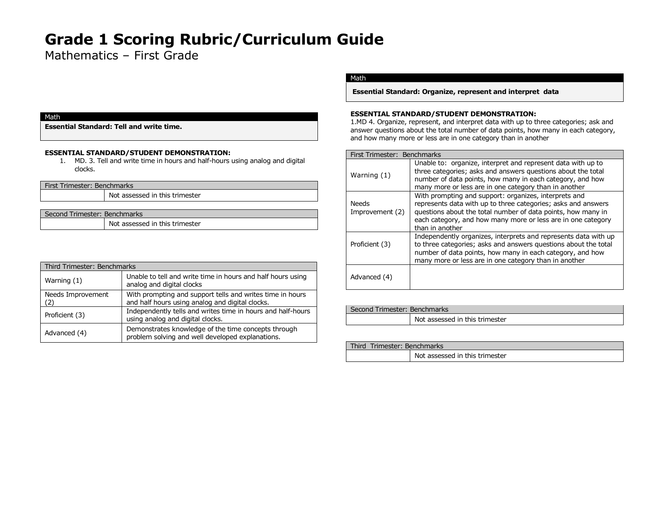Mathematics – First Grade

#### Math

**Essential Standard: Tell and write time.**

### **ESSENTIAL STANDARD/STUDENT DEMONSTRATION:**

1. MD. 3. Tell and write time in hours and half-hours using analog and digital clocks.

| First Trimester: Benchmarks |                                |
|-----------------------------|--------------------------------|
|                             | Not assessed in this trimester |

| Second Trimester: Benchmarks |                                |
|------------------------------|--------------------------------|
|                              | Not assessed in this trimester |

| Third Trimester: Benchmarks |                                                                                                              |
|-----------------------------|--------------------------------------------------------------------------------------------------------------|
| Warning (1)                 | Unable to tell and write time in hours and half hours using<br>analog and digital clocks                     |
| Needs Improvement           | With prompting and support tells and writes time in hours<br>and half hours using analog and digital clocks. |
| Proficient (3)              | Independently tells and writes time in hours and half-hours<br>using analog and digital clocks.              |
| Advanced (4)                | Demonstrates knowledge of the time concepts through<br>problem solving and well developed explanations.      |

## Math

**Essential Standard: Organize, represent and interpret data** 

### **ESSENTIAL STANDARD/STUDENT DEMONSTRATION:**

1.MD 4. Organize, represent, and interpret data with up to three categories; ask and answer questions about the total number of data points, how many in each category, and how many more or less are in one category than in another

| First Trimester: Benchmarks     |                                                                                                                                                                                                                                                                           |
|---------------------------------|---------------------------------------------------------------------------------------------------------------------------------------------------------------------------------------------------------------------------------------------------------------------------|
| Warning (1)                     | Unable to: organize, interpret and represent data with up to<br>three categories; asks and answers questions about the total<br>number of data points, how many in each category, and how<br>many more or less are in one category than in another                        |
| <b>Needs</b><br>Improvement (2) | With prompting and support: organizes, interprets and<br>represents data with up to three categories; asks and answers<br>questions about the total number of data points, how many in<br>each category, and how many more or less are in one category<br>than in another |
| Proficient (3)                  | Independently organizes, interprets and represents data with up<br>to three categories; asks and answers questions about the total<br>number of data points, how many in each category, and how<br>many more or less are in one category than in another                  |
| Advanced (4)                    |                                                                                                                                                                                                                                                                           |

| Second Trimester: Benchmarks |                                |
|------------------------------|--------------------------------|
|                              | Not assessed in this trimester |

| Third Trimester: Benchmarks |                                |
|-----------------------------|--------------------------------|
|                             | Not assessed in this trimester |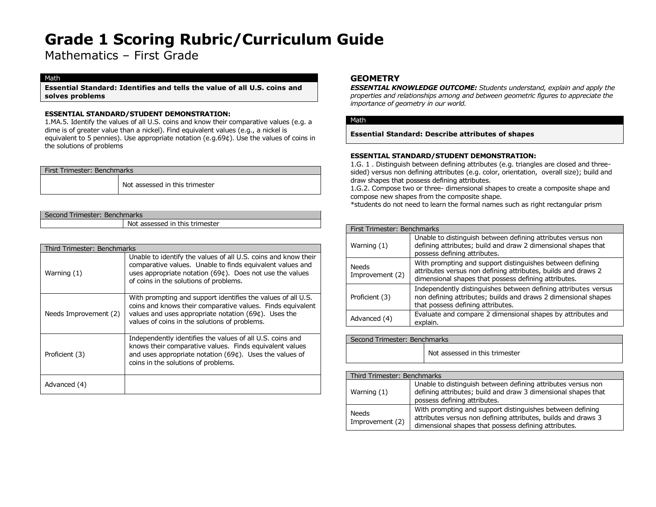Mathematics – First Grade

### Math

**Essential Standard: Identifies and tells the value of all U.S. coins and solves problems**

### **ESSENTIAL STANDARD/STUDENT DEMONSTRATION:**

1.MA.5. Identify the values of all U.S. coins and know their comparative values (e.g. a dime is of greater value than a nickel). Find equivalent values (e.g., a nickel is equivalent to 5 pennies). Use appropriate notation (e.g.69¢). Use the values of coins in the solutions of problems

| First Trimester: Benchmarks |                                |
|-----------------------------|--------------------------------|
|                             | Not assessed in this trimester |

| Second Trimester: Benchmarks |                                |  |
|------------------------------|--------------------------------|--|
|                              | Not assessed in this trimester |  |

| Third Trimester: Benchmarks |                                                                                                                                                                                                                                        |  |
|-----------------------------|----------------------------------------------------------------------------------------------------------------------------------------------------------------------------------------------------------------------------------------|--|
| Warning $(1)$               | Unable to identify the values of all U.S. coins and know their<br>comparative values. Unable to finds equivalent values and<br>uses appropriate notation (69¢). Does not use the values<br>of coins in the solutions of problems.      |  |
| Needs Improvement (2)       | With prompting and support identifies the values of all U.S.<br>coins and knows their comparative values. Finds equivalent<br>values and uses appropriate notation $(69¢)$ . Uses the<br>values of coins in the solutions of problems. |  |
| Proficient (3)              | Independently identifies the values of all U.S. coins and<br>knows their comparative values. Finds equivalent values<br>and uses appropriate notation (69¢). Uses the values of<br>coins in the solutions of problems.                 |  |
| Advanced (4)                |                                                                                                                                                                                                                                        |  |

## **GEOMETRY**

*ESSENTIAL KNOWLEDGE OUTCOME: Students understand, explain and apply the properties and relationships among and between geometric figures to appreciate the importance of geometry in our world.*

### Math

**Essential Standard: Describe attributes of shapes**

### **ESSENTIAL STANDARD/STUDENT DEMONSTRATION:**

1.G. 1 . Distinguish between defining attributes (e.g. triangles are closed and threesided) versus non defining attributes (e.g. color, orientation, overall size); build and draw shapes that possess defining attributes.

1.G.2. Compose two or three- dimensional shapes to create a composite shape and compose new shapes from the composite shape.

\*students do not need to learn the formal names such as right rectangular prism

| First Trimester: Benchmarks |                                                                                                                                                                                    |
|-----------------------------|------------------------------------------------------------------------------------------------------------------------------------------------------------------------------------|
| Warning (1)                 | Unable to distinguish between defining attributes versus non<br>defining attributes; build and draw 2 dimensional shapes that<br>possess defining attributes.                      |
| Needs<br>Improvement (2)    | With prompting and support distinguishes between defining<br>attributes versus non defining attributes, builds and draws 2<br>dimensional shapes that possess defining attributes. |
| Proficient (3)              | Independently distinguishes between defining attributes versus<br>non defining attributes; builds and draws 2 dimensional shapes<br>that possess defining attributes.              |
| Advanced (4)                | Evaluate and compare 2 dimensional shapes by attributes and<br>explain.                                                                                                            |

| Second Trimester: Benchmarks |                                |  |
|------------------------------|--------------------------------|--|
|                              | Not assessed in this trimester |  |

|                          | Third Trimester: Benchmarks                                                                                                                                                        |  |
|--------------------------|------------------------------------------------------------------------------------------------------------------------------------------------------------------------------------|--|
| Warning (1)              | Unable to distinguish between defining attributes versus non<br>defining attributes; build and draw 3 dimensional shapes that<br>possess defining attributes.                      |  |
| Needs<br>Improvement (2) | With prompting and support distinguishes between defining<br>attributes versus non defining attributes, builds and draws 3<br>dimensional shapes that possess defining attributes. |  |